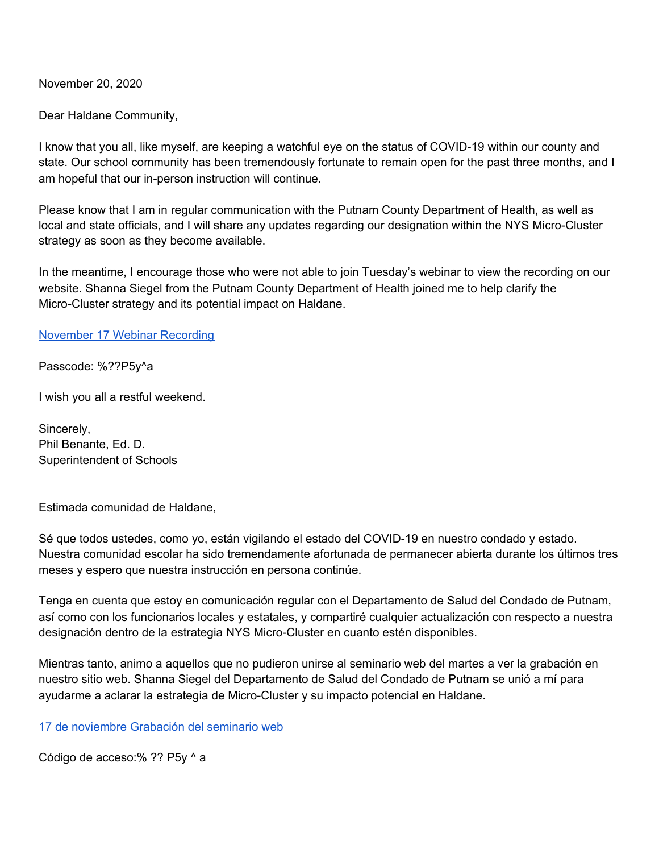November 20, 2020

Dear Haldane Community,

I know that you all, like myself, are keeping a watchful eye on the status of COVID-19 within our county and state. Our school community has been tremendously fortunate to remain open for the past three months, and I am hopeful that our in-person instruction will continue.

Please know that I am in regular communication with the Putnam County Department of Health, as well as local and state officials, and I will share any updates regarding our designation within the NYS Micro-Cluster strategy as soon as they become available.

In the meantime, I encourage those who were not able to join Tuesday's webinar to view the recording on our website. Shanna Siegel from the Putnam County Department of Health joined me to help clarify the Micro-Cluster strategy and its potential impact on Haldane.

[November](https://us02web.zoom.us/rec/share/yRZrEYIX3qd4zipYnc2RIr5tQdoUaOLCTgLhveCw0Elmd9ZzuN5ke7s_fEXKcFC3.IotAg_eANkYJF1r7) 17 Webinar Recording

Passcode: %??P5y^a

I wish you all a restful weekend.

Sincerely, Phil Benante, Ed. D. Superintendent of Schools

Estimada comunidad de Haldane,

Sé que todos ustedes, como yo, están vigilando el estado del COVID-19 en nuestro condado y estado. Nuestra comunidad escolar ha sido tremendamente afortunada de permanecer abierta durante los últimos tres meses y espero que nuestra instrucción en persona continúe.

Tenga en cuenta que estoy en comunicación regular con el Departamento de Salud del Condado de Putnam, así como con los funcionarios locales y estatales, y compartiré cualquier actualización con respecto a nuestra designación dentro de la estrategia NYS Micro-Cluster en cuanto estén disponibles.

Mientras tanto, animo a aquellos que no pudieron unirse al seminario web del martes a ver la grabación en nuestro sitio web. Shanna Siegel del Departamento de Salud del Condado de Putnam se unió a mí para ayudarme a aclarar la estrategia de Micro-Cluster y su impacto potencial en Haldane.

17 de [noviembre](https://us02web.zoom.us/rec/share/yRZrEYIX3qd4zipYnc2RIr5tQdoUaOLCTgLhveCw0Elmd9ZzuN5ke7s_fEXKcFC3.IotAg_eANkYJF1r7) Grabación del seminario web

Código de acceso:% ?? P5y ^ a